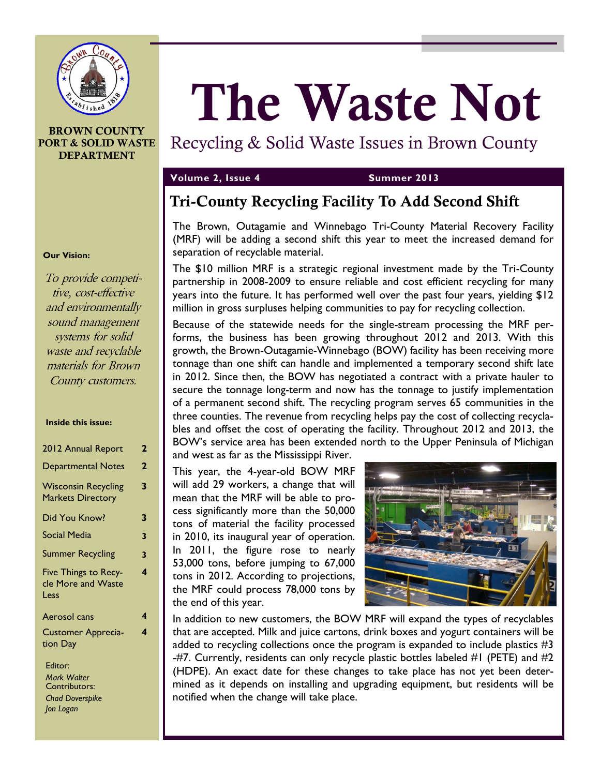

#### **BROWN COUNTY PORT & SOLID WASTE DEPARTMENT**

# **The Waste Not**

# Recycling & Solid Waste Issues in Brown County

## **Volume 2, Issue 4 Summer 2013**

# **Tri-County Recycling Facility To Add Second Shift**

The Brown, Outagamie and Winnebago Tri-County Material Recovery Facility (MRF) will be adding a second shift this year to meet the increased demand for separation of recyclable material.

The \$10 million MRF is a strategic regional investment made by the Tri-County partnership in 2008-2009 to ensure reliable and cost efficient recycling for many years into the future. It has performed well over the past four years, yielding \$12 million in gross surpluses helping communities to pay for recycling collection.

Because of the statewide needs for the single-stream processing the MRF performs, the business has been growing throughout 2012 and 2013. With this growth, the Brown-Outagamie-Winnebago (BOW) facility has been receiving more tonnage than one shift can handle and implemented a temporary second shift late in 2012. Since then, the BOW has negotiated a contract with a private hauler to secure the tonnage long-term and now has the tonnage to justify implementation of a permanent second shift. The recycling program serves 65 communities in the three counties. The revenue from recycling helps pay the cost of collecting recyclables and offset the cost of operating the facility. Throughout 2012 and 2013, the BOW's service area has been extended north to the Upper Peninsula of Michigan and west as far as the Mississippi River.

This year, the 4-year-old BOW MRF will add 29 workers, a change that will mean that the MRF will be able to process significantly more than the 50,000 tons of material the facility processed in 2010, its inaugural year of operation. In 2011, the figure rose to nearly 53,000 tons, before jumping to 67,000 tons in 2012. According to projections, the MRF could process 78,000 tons by the end of this year.



In addition to new customers, the BOW MRF will expand the types of recyclables that are accepted. Milk and juice cartons, drink boxes and yogurt containers will be added to recycling collections once the program is expanded to include plastics #3 -#7. Currently, residents can only recycle plastic bottles labeled #1 (PETE) and #2 (HDPE). An exact date for these changes to take place has not yet been determined as it depends on installing and upgrading equipment, but residents will be notified when the change will take place.

#### **Our Vision:**

To provide competitive, cost-effective and environmentally sound management systems for solid waste and recyclable materials for Brown County customers.

#### **Inside this issue:**

| 2012 Annual Report                                     | 2 |
|--------------------------------------------------------|---|
| <b>Departmental Notes</b>                              | 2 |
| <b>Wisconsin Recycling</b><br><b>Markets Directory</b> | 3 |
| Did You Know?                                          | 3 |
| <b>Social Media</b>                                    | 3 |
| <b>Summer Recycling</b>                                | 3 |
| Five Things to Recy-<br>cle More and Waste<br>Less     | 4 |
| Aerosol cans                                           | 4 |
| <b>Customer Apprecia-</b><br>tion Day                  | 4 |
|                                                        |   |

Editor: *Mark Walter* Contributors: *Chad Doverspike Jon Logan*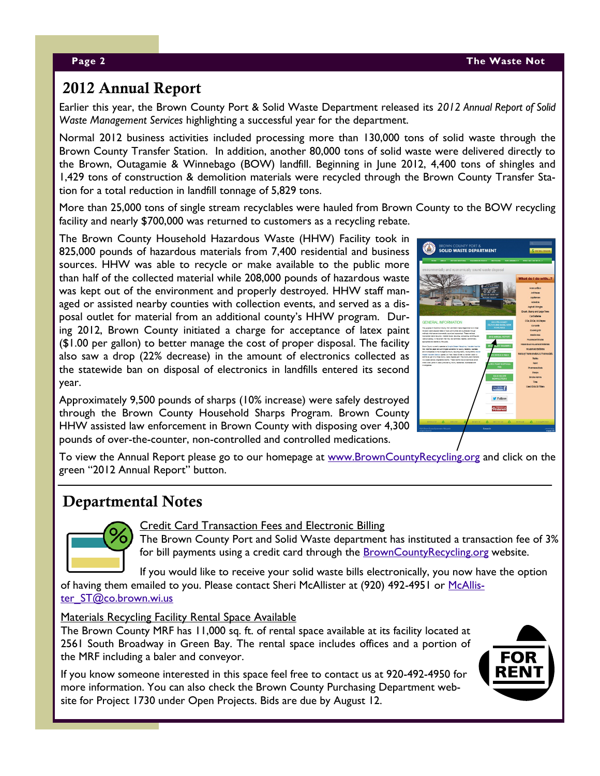# **2012 Annual Report**

Earlier this year, the Brown County Port & Solid Waste Department released its *2012 Annual Report of Solid Waste Management Services* highlighting a successful year for the department.

Normal 2012 business activities included processing more than 130,000 tons of solid waste through the Brown County Transfer Station. In addition, another 80,000 tons of solid waste were delivered directly to the Brown, Outagamie & Winnebago (BOW) landfill. Beginning in June 2012, 4,400 tons of shingles and 1,429 tons of construction & demolition materials were recycled through the Brown County Transfer Station for a total reduction in landfill tonnage of 5,829 tons.

More than 25,000 tons of single stream recyclables were hauled from Brown County to the BOW recycling facility and nearly \$700,000 was returned to customers as a recycling rebate.

The Brown County Household Hazardous Waste (HHW) Facility took in 825,000 pounds of hazardous materials from 7,400 residential and business sources. HHW was able to recycle or make available to the public more than half of the collected material while 208,000 pounds of hazardous waste was kept out of the environment and properly destroyed. HHW staff managed or assisted nearby counties with collection events, and served as a disposal outlet for material from an additional county's HHW program. During 2012, Brown County initiated a charge for acceptance of latex paint (\$1.00 per gallon) to better manage the cost of proper disposal. The facility also saw a drop (22% decrease) in the amount of electronics collected as the statewide ban on disposal of electronics in landfills entered its second year.

Approximately 9,500 pounds of sharps (10% increase) were safely destroyed through the Brown County Household Sharps Program. Brown County HHW assisted law enforcement in Brown County with disposing over 4,300 pounds of over-the-counter, non-controlled and controlled medications.

| <b>BROWN COUNTY PORT &amp;</b><br><b>SOLID WASTE DEPARTMENT</b><br><b>S INY BILL ONLINE</b>                                                                                       |                                               |  |
|-----------------------------------------------------------------------------------------------------------------------------------------------------------------------------------|-----------------------------------------------|--|
| ABOUT REPORT DRIVING. RAZARDOUS WAS 16. RECYCLING SUSTAINABLITY WAS DOT DO WITH, T<br>HOWE.                                                                                       |                                               |  |
| environmentally and economically sound waste disposal                                                                                                                             |                                               |  |
|                                                                                                                                                                                   | What do I do with?                            |  |
| 'nв                                                                                                                                                                               | Ammunition                                    |  |
| PORT OF GREEN BAY                                                                                                                                                                 | Anthena                                       |  |
| <b>REPEARS PACILITY</b><br>25.61                                                                                                                                                  | Applanoss                                     |  |
|                                                                                                                                                                                   | <b>Astestos</b><br>Archat Shinder             |  |
|                                                                                                                                                                                   | Brush, Stump and Large Trees.                 |  |
|                                                                                                                                                                                   | Car Battenes                                  |  |
| <b>GENERAL INFORMATION</b><br>2011 TRI-COUNTY                                                                                                                                     | CDs. DVDs. VHS tapes                          |  |
| RECYCLING QUIDE NOW<br><b>AVAILABLE</b>                                                                                                                                           | Concrete                                      |  |
| The guigase of the Brown County Plat and Sold Waste Department is to meet<br>the sold vasia degree meda of local communities and businesses through                               | Cooking Oil                                   |  |
| mathesis which are environmentally assured and assurances. These mathesis<br>2012 ANNUAL REPORT<br>response reale reductor, material reuse, recycling, compasing, lendfring and   | Electronics                                   |  |
| redefencery is the ederi that they are lechnicity faceble, accountantly<br>appropriate and desired by the public.                                                                 | <b>Fluorescent Buibs</b>                      |  |
| <b>CY CHANGE</b><br>Groun County currently operation a Single Stream Heryding Transfer Pacific                                                                                    | Hazardous Household Materials                 |  |
| that transfers paper and commitiged containers for county residents, business<br>and municipalities to the Cultigantie County requiring facility. Curric 2003 a Solicit           | <b>Household Bateries</b>                     |  |
| Wade Englisher Station goared on West Mason Street to transfer neate to<br><b>RATES &amp; FEES</b><br>and its as part of a three courty vaste decoration. The courty also menters | Mercury Thermometers & Thermostats            |  |
| too stand seriery expressed levifits. These levifits hald an extrnated seven<br>milton cubic verds of visitie produced by county neidences. businesses and                        | <b>Pabits</b>                                 |  |
| <b>TEX PAINT DISPOSAL</b><br>movement and<br>ree                                                                                                                                  | <b>Paint</b><br><b>Pharmoutists</b>           |  |
|                                                                                                                                                                                   | <b>STRIDE</b>                                 |  |
| <b>BOLID WAATE</b>                                                                                                                                                                | Stroke Alarms                                 |  |
| <b>NEW BLETTER &amp;</b>                                                                                                                                                          | Trop                                          |  |
|                                                                                                                                                                                   | <b>Used OLA OLD by a</b>                      |  |
| Like Ut On                                                                                                                                                                        |                                               |  |
| Follow                                                                                                                                                                            |                                               |  |
|                                                                                                                                                                                   |                                               |  |
| Pinteres                                                                                                                                                                          |                                               |  |
|                                                                                                                                                                                   |                                               |  |
|                                                                                                                                                                                   |                                               |  |
| ۵<br><b>REDUCE</b><br>$\Delta$<br><b>REUSE</b><br><b>REJECT</b><br>$\Delta$<br>RECYCLE.                                                                                           | $\Delta$<br><b>A</b> COMPOST<br><b>REPAIR</b> |  |
| <b>Contact Ch</b><br>10013@nove-CountySommerney - Mazonah                                                                                                                         |                                               |  |
|                                                                                                                                                                                   | <b>ANDAN CRE</b>                              |  |

To view the Annual Report please go to our homepage at [www.BrownCountyRecycling.org](http://www.BrownCountyWiSolidWaste.org) and click on the green "2012 Annual Report" button.

# **Departmental Notes**



### Credit Card Transaction Fees and Electronic Billing

The Brown County Port and Solid Waste department has instituted a transaction fee of 3% for bill payments using a credit card through the [BrownCountyRecycling.org](http://www.BrownCountyWiSolidWaste.org) website.

If you would like to receive your solid waste bills electronically, you now have the option

of having them emailed to you. Please contact Sheri McAllister at (920) 492-4951 or [McAllis](mailto:McAllister_ST@co.brown.wi.us)[ter\\_ST@co.brown.wi.us](mailto:McAllister_ST@co.brown.wi.us)

### Materials Recycling Facility Rental Space Available

The Brown County MRF has 11,000 sq. ft. of rental space available at its facility located at 2561 South Broadway in Green Bay. The rental space includes offices and a portion of the MRF including a baler and conveyor.

If you know someone interested in this space feel free to contact us at 920-492-4950 for more information. You can also check the Brown County Purchasing Department website for Project 1730 under Open Projects. Bids are due by August 12.

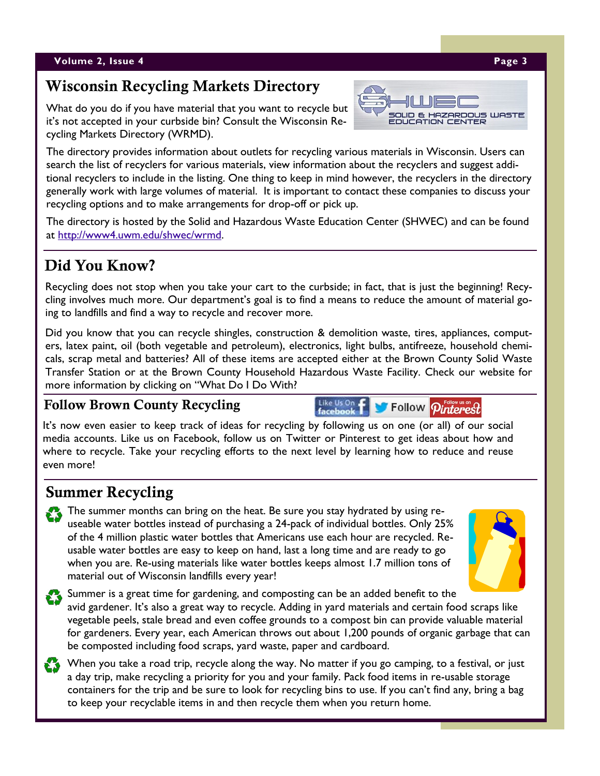# **Wisconsin Recycling Markets Directory**

What do you do if you have material that you want to recycle but it's not accepted in your curbside bin? Consult the Wisconsin Recycling Markets Directory (WRMD).

The directory provides information about outlets for recycling various materials in Wisconsin. Users can search the list of recyclers for various materials, view information about the recyclers and suggest additional recyclers to include in the listing. One thing to keep in mind however, the recyclers in the directory generally work with large volumes of material. It is important to contact these companies to discuss your recycling options and to make arrangements for drop-off or pick up.

The directory is hosted by the Solid and Hazardous Waste Education Center (SHWEC) and can be found at [http://www4.uwm.edu/shwec/wrmd.](http://www4.uwm.edu/shwec/wrmd)

# **Did You Know?**

Recycling does not stop when you take your cart to the curbside; in fact, that is just the beginning! Recycling involves much more. Our department's goal is to find a means to reduce the amount of material going to landfills and find a way to recycle and recover more.

Did you know that you can recycle shingles, construction & demolition waste, tires, appliances, computers, latex paint, oil (both vegetable and petroleum), electronics, light bulbs, antifreeze, household chemicals, scrap metal and batteries? All of these items are accepted either at the Brown County Solid Waste Transfer Station or at the Brown County Household Hazardous Waste Facility. Check our website for more information by clicking on "What Do I Do With?

Like Us On

## **Follow Brown County Recycling**

It's now even easier to keep track of ideas for recycling by following us on one (or all) of our social media accounts. Like us on Facebook, follow us on Twitter or Pinterest to get ideas about how and where to recycle. Take your recycling efforts to the next level by learning how to reduce and reuse even more!

# **Summer Recycling**

The summer months can bring on the heat. Be sure you stay hydrated by using reuseable water bottles instead of purchasing a 24-pack of individual bottles. Only 25% of the 4 million plastic water bottles that Americans use each hour are recycled. Reusable water bottles are easy to keep on hand, last a long time and are ready to go when you are. Re-using materials like water bottles keeps almost 1.7 million tons of material out of Wisconsin landfills every year!

Summer is a great time for gardening, and composting can be an added benefit to the avid gardener. It's also a great way to recycle. Adding in yard materials and certain food scraps like vegetable peels, stale bread and even coffee grounds to a compost bin can provide valuable material for gardeners. Every year, each American throws out about 1,200 pounds of organic garbage that can be composted including food scraps, yard waste, paper and cardboard.

When you take a road trip, recycle along the way. No matter if you go camping, to a festival, or just a day trip, make recycling a priority for you and your family. Pack food items in re-usable storage containers for the trip and be sure to look for recycling bins to use. If you can't find any, bring a bag to keep your recyclable items in and then recycle them when you return home.



Follow *Pinterest*